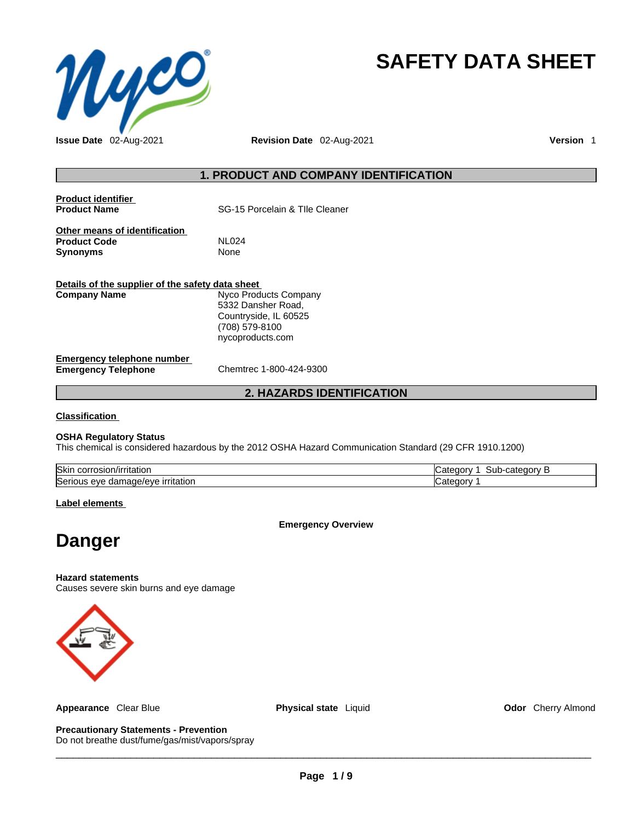

# **SAFETY DATA SHEET**

# **1. PRODUCT AND COMPANY IDENTIFICATION**

| <b>Product identifier</b><br><b>Product Name</b>                        | SG-15 Porcelain & Tlle Cleaner                                                                             |
|-------------------------------------------------------------------------|------------------------------------------------------------------------------------------------------------|
| Other means of identification<br><b>Product Code</b><br><b>Synonyms</b> | <b>NL024</b><br><b>None</b>                                                                                |
| Details of the supplier of the safety data sheet<br><b>Company Name</b> | Nyco Products Company<br>5332 Dansher Road,<br>Countryside, IL 60525<br>(708) 579-8100<br>nycoproducts.com |
| <b>Emergency telephone number</b><br><b>Emergency Telephone</b>         | Chemtrec 1-800-424-9300                                                                                    |

# **2. HAZARDS IDENTIFICATION**

**Classification**

# **OSHA Regulatory Status**

This chemical is considered hazardous by the 2012 OSHA Hazard Communication Standard (29 CFR 1910.1200)

| <b>Skin</b><br>.<br>corrosion<br>rnauor.<br>                | ----<br>---<br>ne.<br>ுா⊢<br>Jaler<br>, ו<br><br>out |
|-------------------------------------------------------------|------------------------------------------------------|
| <u>irritation</u><br>iade/eve<br>eve<br>dar<br>iseriot<br>. |                                                      |

# **Label elements**

**Emergency Overview** 

# **Danger**

**Hazard statements**

Causes severe skin burns and eye damage



**Appearance** Clear Blue **Physical state** Liquid **Odor** Cherry Almond

**Precautionary Statements - Prevention** Do not breathe dust/fume/gas/mist/vapors/spray

 $\_$  ,  $\_$  ,  $\_$  ,  $\_$  ,  $\_$  ,  $\_$  ,  $\_$  ,  $\_$  ,  $\_$  ,  $\_$  ,  $\_$  ,  $\_$  ,  $\_$  ,  $\_$  ,  $\_$  ,  $\_$  ,  $\_$  ,  $\_$  ,  $\_$  ,  $\_$  ,  $\_$  ,  $\_$  ,  $\_$  ,  $\_$  ,  $\_$  ,  $\_$  ,  $\_$  ,  $\_$  ,  $\_$  ,  $\_$  ,  $\_$  ,  $\_$  ,  $\_$  ,  $\_$  ,  $\_$  ,  $\_$  ,  $\_$  ,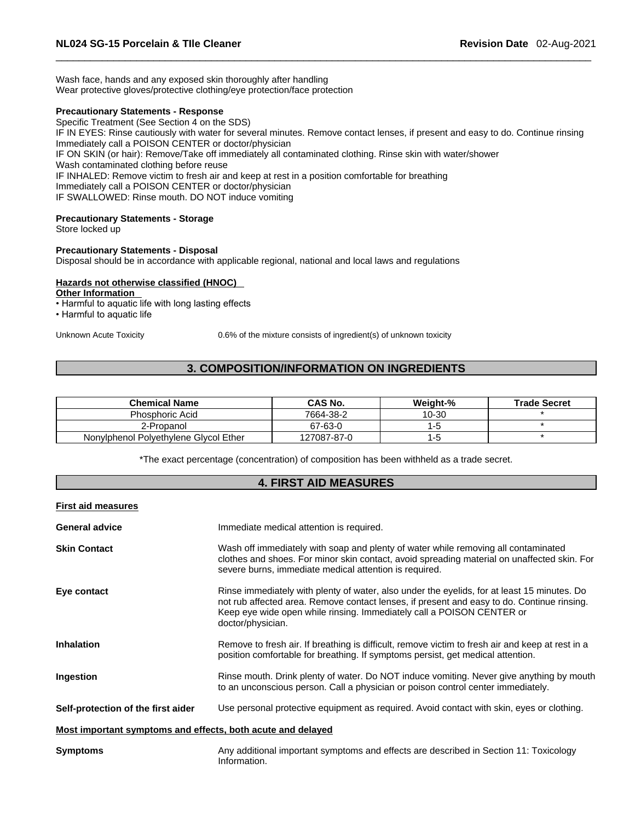Wash face, hands and any exposed skin thoroughly after handling Wear protective gloves/protective clothing/eye protection/face protection

### **Precautionary Statements - Response**

Specific Treatment (See Section 4 on the SDS)

IF IN EYES: Rinse cautiously with water for several minutes. Remove contact lenses, if present and easy to do. Continue rinsing Immediately call a POISON CENTER or doctor/physician IF ON SKIN (or hair): Remove/Take off immediately all contaminated clothing. Rinse skin with water/shower Wash contaminated clothing before reuse IF INHALED: Remove victim to fresh air and keep at rest in a position comfortable for breathing

Immediately call a POISON CENTER or doctor/physician

IF SWALLOWED: Rinse mouth. DO NOT induce vomiting

# **Precautionary Statements - Storage**

Store locked up

# **Precautionary Statements - Disposal**

Disposal should be in accordance with applicable regional, national and local laws and regulations

# **Hazards not otherwise classified (HNOC)**

**Other Information** 

• Harmful to aquatic life with long lasting effects

• Harmful to aquatic life

Unknown Acute Toxicity 0.6% of the mixture consists of ingredient(s) of unknown toxicity

# **3. COMPOSITION/INFORMATION ON INGREDIENTS**

| <b>Chemical Name</b>                  | CAS No.     | Weight-% | <b>Trade Secret</b> |
|---------------------------------------|-------------|----------|---------------------|
| Phosphoric Acid                       | 7664-38-2   | 10-30    |                     |
| 2-Propanol                            | 67-63-0     |          |                     |
| Nonylphenol Polyethylene Glycol Ether | 127087-87-0 |          |                     |

\*The exact percentage (concentration) of composition has been withheld as a trade secret.

# **4. FIRST AID MEASURES**

| <b>First aid measures</b>                                   |                                                                                                                                                                                                                                                                                         |
|-------------------------------------------------------------|-----------------------------------------------------------------------------------------------------------------------------------------------------------------------------------------------------------------------------------------------------------------------------------------|
| <b>General advice</b>                                       | Immediate medical attention is required.                                                                                                                                                                                                                                                |
| <b>Skin Contact</b>                                         | Wash off immediately with soap and plenty of water while removing all contaminated<br>clothes and shoes. For minor skin contact, avoid spreading material on unaffected skin. For<br>severe burns, immediate medical attention is required.                                             |
| Eye contact                                                 | Rinse immediately with plenty of water, also under the eyelids, for at least 15 minutes. Do<br>not rub affected area. Remove contact lenses, if present and easy to do. Continue rinsing.<br>Keep eye wide open while rinsing. Immediately call a POISON CENTER or<br>doctor/physician. |
| <b>Inhalation</b>                                           | Remove to fresh air. If breathing is difficult, remove victim to fresh air and keep at rest in a<br>position comfortable for breathing. If symptoms persist, get medical attention.                                                                                                     |
| Ingestion                                                   | Rinse mouth. Drink plenty of water. Do NOT induce vomiting. Never give anything by mouth<br>to an unconscious person. Call a physician or poison control center immediately.                                                                                                            |
| Self-protection of the first aider                          | Use personal protective equipment as required. Avoid contact with skin, eyes or clothing.                                                                                                                                                                                               |
| Most important symptoms and effects, both acute and delayed |                                                                                                                                                                                                                                                                                         |
| <b>Symptoms</b>                                             | Any additional important symptoms and effects are described in Section 11: Toxicology<br>Information.                                                                                                                                                                                   |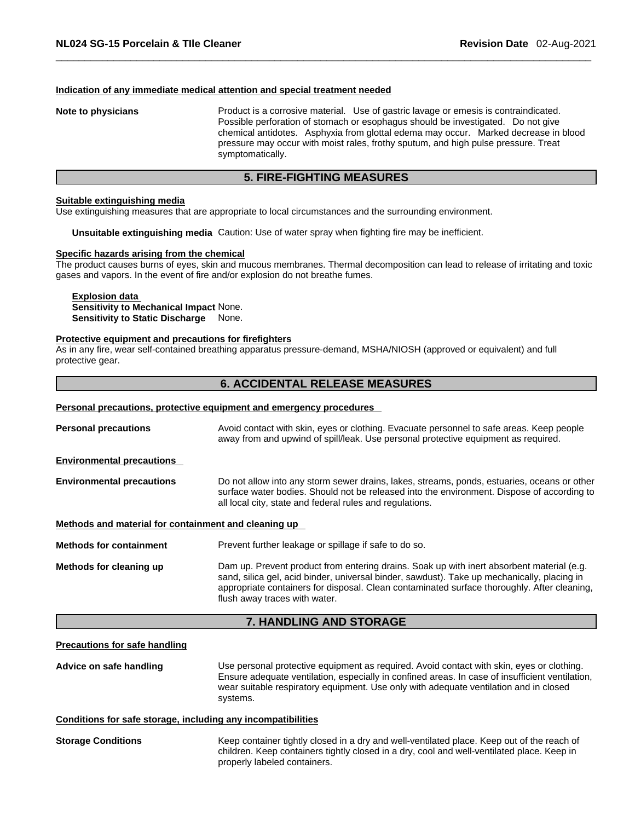### **Indication of any immediate medical attention and special treatment needed**

**Note to physicians** Product is a corrosive material. Use of gastric lavage or emesis is contraindicated. Possible perforation of stomach or esophagus should be investigated. Do not give chemical antidotes. Asphyxia from glottal edema may occur. Marked decrease in blood pressure may occur with moist rales, frothy sputum, and high pulse pressure. Treat symptomatically.

# **5. FIRE-FIGHTING MEASURES**

### **Suitable extinguishing media**

Use extinguishing measures that are appropriate to local circumstances and the surrounding environment.

**Unsuitable extinguishing media** Caution: Use of water spray when fighting fire may be inefficient.

### **Specific hazards arising from the chemical**

The product causes burns of eyes, skin and mucous membranes. Thermal decomposition can lead to release of irritating and toxic gases and vapors. In the event of fire and/or explosion do not breathe fumes.

**Explosion data Sensitivity to Mechanical Impact** None. **Sensitivity to Static Discharge** None.

### **Protective equipment and precautions for firefighters**

As in any fire, wear self-contained breathing apparatus pressure-demand, MSHA/NIOSH (approved or equivalent) and full protective gear.

# **6. ACCIDENTAL RELEASE MEASURES**

### **Personal precautions, protective equipment and emergency procedures**

| <b>Personal precautions</b>                          | Avoid contact with skin, eyes or clothing. Evacuate personnel to safe areas. Keep people<br>away from and upwind of spill/leak. Use personal protective equipment as required.                                                                                                                                           |
|------------------------------------------------------|--------------------------------------------------------------------------------------------------------------------------------------------------------------------------------------------------------------------------------------------------------------------------------------------------------------------------|
| <b>Environmental precautions</b>                     |                                                                                                                                                                                                                                                                                                                          |
| <b>Environmental precautions</b>                     | Do not allow into any storm sewer drains, lakes, streams, ponds, estuaries, oceans or other<br>surface water bodies. Should not be released into the environment. Dispose of according to<br>all local city, state and federal rules and regulations.                                                                    |
| Methods and material for containment and cleaning up |                                                                                                                                                                                                                                                                                                                          |
| <b>Methods for containment</b>                       | Prevent further leakage or spillage if safe to do so.                                                                                                                                                                                                                                                                    |
| Methods for cleaning up                              | Dam up. Prevent product from entering drains. Soak up with inert absorbent material (e.g.<br>sand, silica gel, acid binder, universal binder, sawdust). Take up mechanically, placing in<br>appropriate containers for disposal. Clean contaminated surface thoroughly. After cleaning,<br>flush away traces with water. |

# **7. HANDLING AND STORAGE**

### **Precautions for safe handling**

**Advice on safe handling** Use personal protective equipment as required.Avoid contact with skin, eyes or clothing. Ensure adequate ventilation, especially in confined areas. In case of insufficient ventilation, wear suitable respiratory equipment. Use only with adequate ventilation and in closed systems.

### **Conditions for safe storage, including any incompatibilities**

**Storage Conditions** Keep container tightly closed in a dry and well-ventilated place. Keep out of the reach of children. Keep containers tightly closed in a dry, cool and well-ventilated place. Keep in properly labeled containers.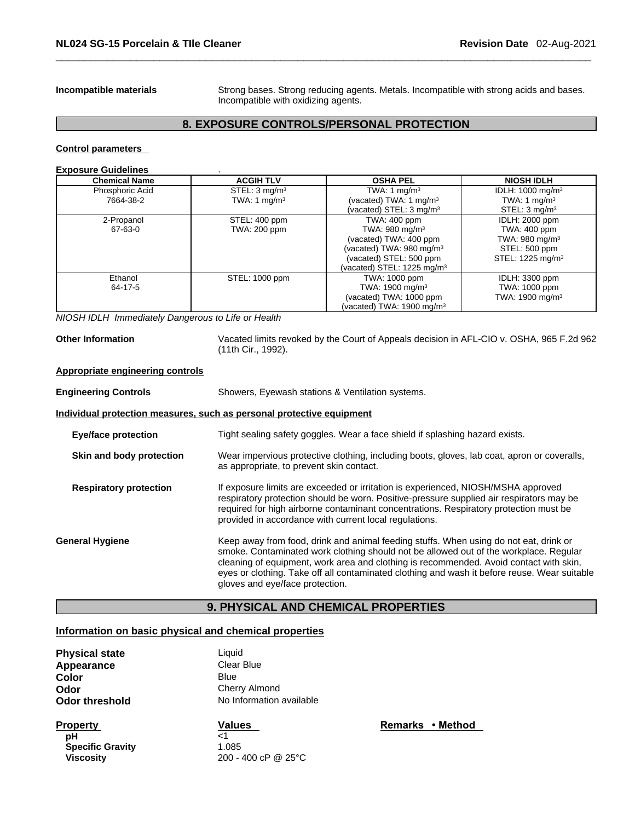**Incompatible materials** Strong bases. Strong reducing agents. Metals. Incompatible with strong acids and bases. Incompatible with oxidizing agents.

# **8. EXPOSURE CONTROLS/PERSONAL PROTECTION**

**Control parameters** 

### **Exposure Guidelines** .

| <b>Chemical Name</b> | <b>ACGIH TLV</b>         | <b>OSHA PEL</b>                        | <b>NIOSH IDLH</b>            |
|----------------------|--------------------------|----------------------------------------|------------------------------|
| Phosphoric Acid      | STEL: $3 \text{ mg/m}^3$ | TWA: 1 mg/m <sup>3</sup>               | IDLH: 1000 mg/m <sup>3</sup> |
| 7664-38-2            | TWA: 1 $mq/m3$           | (vacated) TWA: 1 mg/m <sup>3</sup>     | TWA: 1 $mq/m3$               |
|                      |                          | (vacated) $STEL: 3 mg/m3$              | STEL: 3 mg/m <sup>3</sup>    |
| 2-Propanol           | STEL: 400 ppm            | TWA: 400 ppm                           | IDLH: 2000 ppm               |
| 67-63-0              | TWA: 200 ppm             | TWA: $980 \text{ mg/m}^3$              | TWA: 400 ppm                 |
|                      |                          | (vacated) TWA: 400 ppm                 | TWA: 980 mg/m $3$            |
|                      |                          | (vacated) TWA: 980 mg/m <sup>3</sup>   | STEL: 500 ppm                |
|                      |                          | (vacated) STEL: 500 ppm                | STEL: 1225 mg/m <sup>3</sup> |
|                      |                          | (vacated) STEL: 1225 mg/m <sup>3</sup> |                              |
| Ethanol              | STEL: 1000 ppm           | TWA: 1000 ppm                          | IDLH: 3300 ppm               |
| 64-17-5              |                          | TWA: 1900 mg/m <sup>3</sup>            | TWA: 1000 ppm                |
|                      |                          | (vacated) TWA: 1000 ppm                | TWA: 1900 mg/m <sup>3</sup>  |
|                      |                          | (vacated) TWA: 1900 mg/m $3$           |                              |

*NIOSH IDLH Immediately Dangerous to Life or Health* 

**Other Information** Vacated limits revoked by the Court of Appeals decision in AFL-CIO v.OSHA, 965 F.2d 962 (11th Cir., 1992).

# **Appropriate engineering controls**

**Engineering Controls** Showers, Eyewash stations & Ventilation systems.

# **Individual protection measures, such as personal protective equipment**

| <b>Eye/face protection</b>    | Tight sealing safety goggles. Wear a face shield if splashing hazard exists.                                                                                                                                                                                                                                                                                                                                |
|-------------------------------|-------------------------------------------------------------------------------------------------------------------------------------------------------------------------------------------------------------------------------------------------------------------------------------------------------------------------------------------------------------------------------------------------------------|
| Skin and body protection      | Wear impervious protective clothing, including boots, gloves, lab coat, apron or coveralls,<br>as appropriate, to prevent skin contact.                                                                                                                                                                                                                                                                     |
| <b>Respiratory protection</b> | If exposure limits are exceeded or irritation is experienced, NIOSH/MSHA approved<br>respiratory protection should be worn. Positive-pressure supplied air respirators may be<br>required for high airborne contaminant concentrations. Respiratory protection must be<br>provided in accordance with current local regulations.                                                                            |
| General Hygiene               | Keep away from food, drink and animal feeding stuffs. When using do not eat, drink or<br>smoke. Contaminated work clothing should not be allowed out of the workplace. Regular<br>cleaning of equipment, work area and clothing is recommended. Avoid contact with skin,<br>eyes or clothing. Take off all contaminated clothing and wash it before reuse. Wear suitable<br>gloves and eye/face protection. |

# **9. PHYSICAL AND CHEMICAL PROPERTIES**

# **Information on basic physical and chemical properties**

| <b>Physical state</b> | Liauid                   |
|-----------------------|--------------------------|
| Appearance            | Clear Blue               |
| Color                 | Blue                     |
| Odor                  | Cherry Almond            |
| <b>Odor threshold</b> | No Information available |
|                       |                          |

**Property**<br> **Property**<br> **PH**<br> **PH**<br> **PH pH**  $\lt$ 1 **Specific Gravity** 1.085<br>Viscosity 200 -

**Viscosity** 200 - 400 cP @ 25°C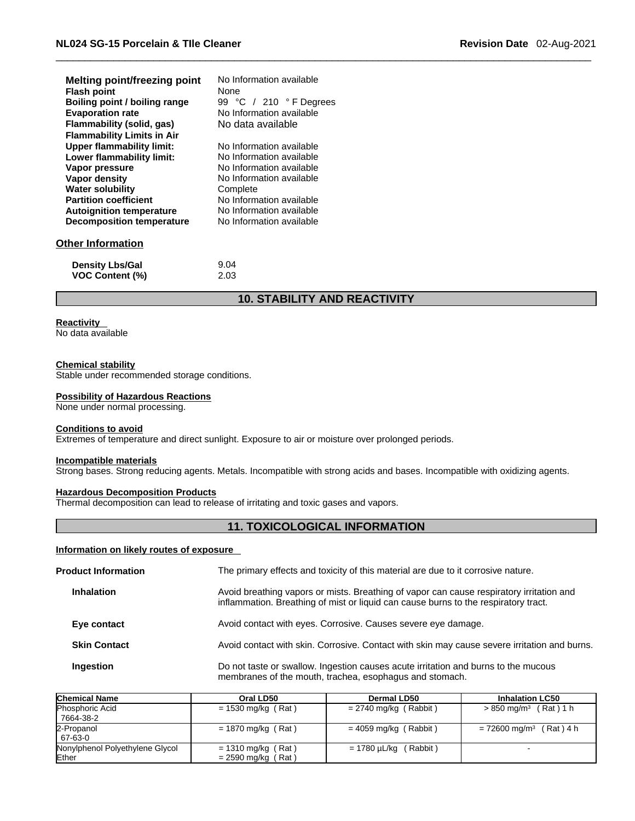| <b>Melting point/freezing point</b><br><b>Flash point</b><br>Boiling point / boiling range<br><b>Evaporation rate</b><br><b>Flammability (solid, gas)</b> | No Information available<br>None.<br>99 °C / 210 °F Degrees<br>No Information available<br>No data available |
|-----------------------------------------------------------------------------------------------------------------------------------------------------------|--------------------------------------------------------------------------------------------------------------|
| <b>Flammability Limits in Air</b>                                                                                                                         |                                                                                                              |
| <b>Upper flammability limit:</b>                                                                                                                          | No Information available                                                                                     |
| Lower flammability limit:                                                                                                                                 | No Information available                                                                                     |
| Vapor pressure                                                                                                                                            | No Information available                                                                                     |
| Vapor density                                                                                                                                             | No Information available                                                                                     |
| <b>Water solubility</b>                                                                                                                                   | Complete                                                                                                     |
| <b>Partition coefficient</b>                                                                                                                              | No Information available                                                                                     |
| <b>Autoignition temperature</b>                                                                                                                           | No Information available                                                                                     |
| <b>Decomposition temperature</b>                                                                                                                          | No Information available                                                                                     |
| Other Information                                                                                                                                         |                                                                                                              |
| <b>Density Lbs/Gal</b>                                                                                                                                    | 9.04                                                                                                         |

# **10. STABILITY AND REACTIVITY**

# **Reactivity**

No data available

# **Chemical stability**

Stable under recommended storage conditions.

**VOC Content (%)** 2.03

### **Possibility of Hazardous Reactions**

None under normal processing.

### **Conditions to avoid**

Extremes of temperature and direct sunlight. Exposure to air or moisture over prolonged periods.

# **Incompatible materials**

Strong bases. Strong reducing agents. Metals. Incompatible with strong acids and bases. Incompatible with oxidizing agents.

# **Hazardous Decomposition Products**

Thermal decomposition can lead to release of irritating and toxic gases and vapors.

# **11. TOXICOLOGICAL INFORMATION**

# **Information on likely routes of exposure**

| <b>Product Information</b> |                     | The primary effects and toxicity of this material are due to it corrosive nature.                                                                                               |  |  |
|----------------------------|---------------------|---------------------------------------------------------------------------------------------------------------------------------------------------------------------------------|--|--|
|                            | <b>Inhalation</b>   | Avoid breathing vapors or mists. Breathing of vapor can cause respiratory irritation and<br>inflammation. Breathing of mist or liquid can cause burns to the respiratory tract. |  |  |
|                            | Eye contact         | Avoid contact with eyes. Corrosive. Causes severe eye damage.                                                                                                                   |  |  |
|                            | <b>Skin Contact</b> | Avoid contact with skin. Corrosive. Contact with skin may cause severe irritation and burns.                                                                                    |  |  |
|                            | Ingestion           | Do not taste or swallow. Ingestion causes acute irritation and burns to the mucous<br>membranes of the mouth, trachea, esophagus and stomach.                                   |  |  |
|                            |                     |                                                                                                                                                                                 |  |  |

| <b>Chemical Name</b>            | Oral LD50            | Dermal LD50                | <b>Inhalation LC50</b>                |
|---------------------------------|----------------------|----------------------------|---------------------------------------|
| Phosphoric Acid                 | $= 1530$ mg/kg (Rat) | $= 2740$ mg/kg (Rabbit)    | $> 850 \text{ mg/m}^3$ (Rat) 1 h      |
| 7664-38-2                       |                      |                            |                                       |
| 2-Propanol                      | $= 1870$ mg/kg (Rat) | $= 4059$ mg/kg (Rabbit)    | $= 72600$ mg/m <sup>3</sup> (Rat) 4 h |
| 67-63-0                         |                      |                            |                                       |
| Nonylphenol Polyethylene Glycol | $= 1310$ mg/kg (Rat) | $= 1780 \mu L/kg$ (Rabbit) |                                       |
| Ether                           | $= 2590$ mg/kg (Rat) |                            |                                       |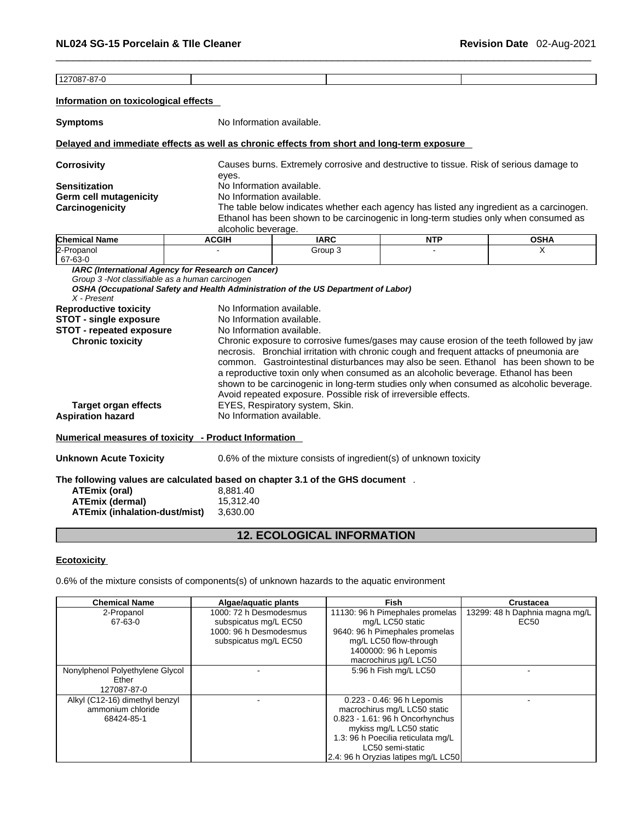127087-87-0 **Information on toxicological effects Symptoms** No Information available. **Delayed and immediate effects as well as chronic effects from short and long-term exposure Corrosivity** Causes burns. Extremely corrosive and destructive to tissue. Risk of serious damage to eyes. **Sensitization** No Information available. **Germ cell mutagenicity** No Information available. **Carcinogenicity** The table below indicates whether each agency has listed any ingredient as a carcinogen. Ethanol has been shown to be carcinogenic in long-term studies only when consumed as alcoholic beverage. **Chemical Name ACGIH IARC NTP OSHA**  2-Propanol 67-63-0 - Group 3 - X *IARC (International Agency for Research on Cancer) Group 3 -Not classifiable as a human carcinogen OSHA (Occupational Safety and Health Administration of the US Department of Labor) X - Present*  **Reproductive toxicity** No Information available. **STOT** - single exposure No Information available. **STOT** - **repeated exposure** No Information available. **Chronic toxicity** Chronic exposure to corrosive fumes/gases may cause erosion of the teeth followed by jaw necrosis. Bronchial irritation with chronic cough and frequent attacks of pneumonia are common. Gastrointestinal disturbances may also be seen. Ethanol has been shown to be a reproductive toxin only when consumed as an alcoholic beverage. Ethanol has been shown to be carcinogenic in long-term studies only when consumed as alcoholic beverage. Avoid repeated exposure. Possible risk of irreversible effects. **Target organ effects** EYES, Respiratory system, Skin. **Aspiration hazard** No Information available. **Numerical measures of toxicity - Product Information Unknown Acute Toxicity** 0.6% of the mixture consists of ingredient(s) of unknown toxicity **The following values are calculated based on chapter 3.1 of the GHS document** .**ATEmix (oral)** 8,881.40 **ATEmix (dermal)**15,312.40 **ATEmix (inhalation-dust/mist)** 3,630.00

# **12. ECOLOGICAL INFORMATION**

# **Ecotoxicity**

0.6% of the mixture consists of components(s) of unknown hazards to the aquatic environment

| <b>Chemical Name</b>            | Algae/aquatic plants   | <b>Fish</b>                         | <b>Crustacea</b>               |
|---------------------------------|------------------------|-------------------------------------|--------------------------------|
| 2-Propanol                      | 1000: 72 h Desmodesmus | 11130: 96 h Pimephales promelas     | 13299: 48 h Daphnia magna mg/L |
| 67-63-0                         | subspicatus mg/L EC50  | mg/L LC50 static                    | EC50                           |
|                                 | 1000: 96 h Desmodesmus | 9640: 96 h Pimephales promelas      |                                |
|                                 | subspicatus mg/L EC50  | mg/L LC50 flow-through              |                                |
|                                 |                        | 1400000: 96 h Lepomis               |                                |
|                                 |                        | macrochirus µg/L LC50               |                                |
| Nonylphenol Polyethylene Glycol |                        | 5:96 h Fish mg/L LC50               |                                |
| Ether                           |                        |                                     |                                |
| 127087-87-0                     |                        |                                     |                                |
| Alkyl (C12-16) dimethyl benzyl  |                        | 0.223 - 0.46: 96 h Lepomis          |                                |
| ammonium chloride               |                        | macrochirus mg/L LC50 static        |                                |
| 68424-85-1                      |                        | 0.823 - 1.61: 96 h Oncorhynchus     |                                |
|                                 |                        | mykiss mg/L LC50 static             |                                |
|                                 |                        | 1.3: 96 h Poecilia reticulata mg/L  |                                |
|                                 |                        | LC50 semi-static                    |                                |
|                                 |                        | 2.4: 96 h Oryzias latipes mg/L LC50 |                                |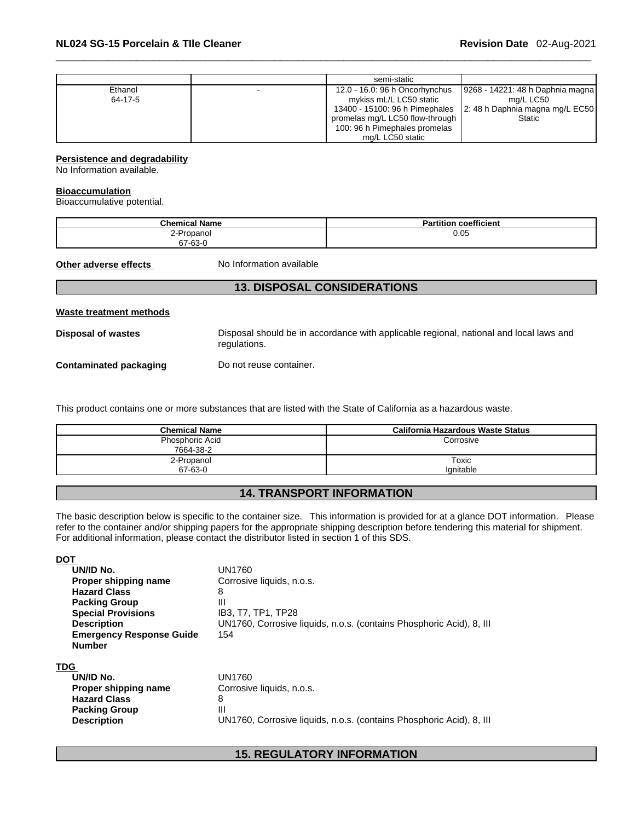|         | semi-static                     |                                   |
|---------|---------------------------------|-----------------------------------|
| Ethanol | 12.0 - 16.0: 96 h Oncorhynchus  | 19268 - 14221: 48 h Daphnia magna |
| 64-17-5 | mykiss mL/L LC50 static         | mg/L LC50                         |
|         | 13400 - 15100: 96 h Pimephales  | 2: 48 h Daphnia magna mg/L EC50   |
|         | promelas mg/L LC50 flow-through | <b>Static</b>                     |
|         | 100: 96 h Pimephales promelas   |                                   |
|         | mg/L LC50 static                |                                   |

# **Persistence and degradability**

No Information available.

### **Bioaccumulation**

Bioaccumulative potential.

| .<br><b>Chemical Name</b> | coefficient<br><b>Partition</b> |
|---------------------------|---------------------------------|
| 2-Propanol                | 0.05                            |
| 67-63-0                   |                                 |

**Other adverse effects** No Information available

# **13. DISPOSAL CONSIDERATIONS**

| Waste treatment methods |                                                                                                        |
|-------------------------|--------------------------------------------------------------------------------------------------------|
| Disposal of wastes      | Disposal should be in accordance with applicable regional, national and local laws and<br>regulations. |
| Contaminated packaging  | Do not reuse container.                                                                                |

This product contains one or more substances that are listed with the State of California as a hazardous waste.

| <b>Chemical Name</b> | California Hazardous Waste Status |
|----------------------|-----------------------------------|
| Phosphoric Acid      | Corrosive                         |
| 7664-38-2            |                                   |
| 2-Propanol           | Toxic                             |
| 67-63-0              | lanitable                         |

# **14. TRANSPORT INFORMATION**

The basic description below is specific to the container size. This information is provided for at a glance DOT information. Please refer to the container and/or shipping papers for the appropriate shipping description before tendering this material for shipment. For additional information, please contact the distributor listed in section 1 of this SDS.

| <b>DOT</b>                      |                                                                      |
|---------------------------------|----------------------------------------------------------------------|
| UN/ID No.                       | UN1760                                                               |
| Proper shipping name            | Corrosive liquids, n.o.s.                                            |
| <b>Hazard Class</b>             | 8                                                                    |
| <b>Packing Group</b>            | Ш                                                                    |
| <b>Special Provisions</b>       | IB3, T7, TP1, TP28                                                   |
| <b>Description</b>              | UN1760, Corrosive liquids, n.o.s. (contains Phosphoric Acid), 8, III |
| <b>Emergency Response Guide</b> | 154                                                                  |
| <b>Number</b>                   |                                                                      |
|                                 |                                                                      |
| TDG                             |                                                                      |
| UN/ID No.                       | UN1760                                                               |
| Proper shipping name            | Corrosive liquids, n.o.s.                                            |
| <b>Hazard Class</b>             | 8                                                                    |
| <b>Packing Group</b>            | Ш                                                                    |
| <b>Description</b>              | UN1760, Corrosive liquids, n.o.s. (contains Phosphoric Acid), 8, III |
|                                 |                                                                      |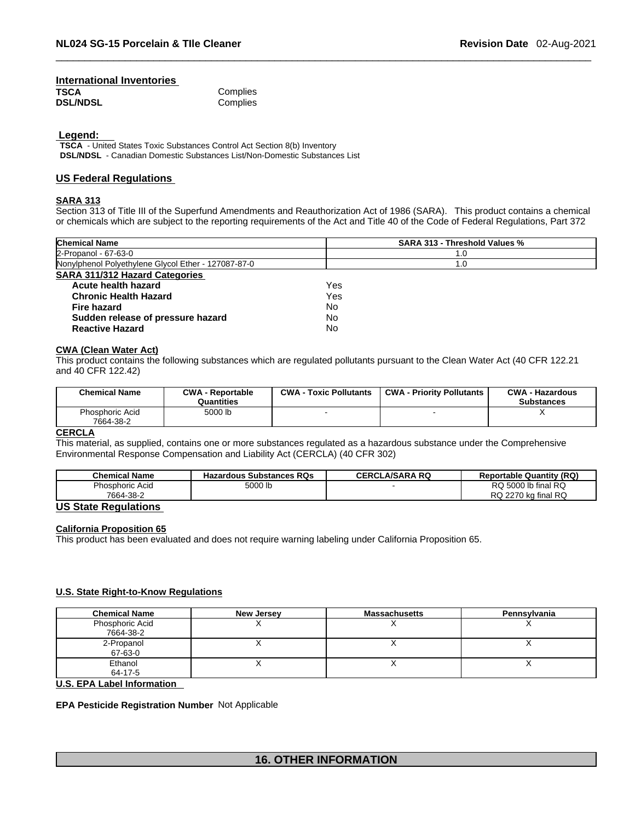## **International Inventories TSCA** Complies<br> **DSL/NDSL** Complies Complies

 **Legend:** 

**TSCA** - United States Toxic Substances Control Act Section 8(b) Inventory **DSL/NDSL** - Canadian Domestic Substances List/Non-Domestic Substances List

# **US Federal Regulations**

### **SARA 313**

Section 313 of Title III of the Superfund Amendments and Reauthorization Act of 1986 (SARA). This product contains a chemical or chemicals which are subject to the reporting requirements of the Act and Title 40 of the Code of Federal Regulations, Part 372

| <b>Chemical Name</b>                                | <b>SARA 313 - Threshold Values %</b> |
|-----------------------------------------------------|--------------------------------------|
| 2-Propanol - 67-63-0                                | 1.0                                  |
| Nonylphenol Polyethylene Glycol Ether - 127087-87-0 | 1.0                                  |
| <b>SARA 311/312 Hazard Categories</b>               |                                      |
| Acute health hazard                                 | Yes                                  |
| <b>Chronic Health Hazard</b>                        | Yes                                  |
| <b>Fire hazard</b>                                  | No                                   |
| Sudden release of pressure hazard                   | No                                   |
| <b>Reactive Hazard</b>                              | No                                   |

### **CWA (Clean WaterAct)**

This product contains the following substances which are regulated pollutants pursuant to the Clean Water Act (40 CFR 122.21 and 40 CFR 122.42)

| <b>Chemical Name</b>         | <b>CWA - Reportable</b><br>Quantities | <b>CWA - Toxic Pollutants</b> | <b>CWA - Priority Pollutants</b> | <b>CWA - Hazardous</b><br>Substances |
|------------------------------|---------------------------------------|-------------------------------|----------------------------------|--------------------------------------|
| Phosphoric Acid<br>7664-38-2 | 5000 lb                               |                               |                                  |                                      |

### **CERCLA**

This material, as supplied, contains one or more substances regulated as a hazardous substance under the Comprehensive Environmental Response Compensation and Liability Act (CERCLA) (40 CFR 302)

| <b>Chemical Name</b> | <b>Hazardous Substances RQs</b> | <b>CERCLA/SARA RQ</b> | <b>Reportable Quantity (RQ)</b> |
|----------------------|---------------------------------|-----------------------|---------------------------------|
| Phosphoric Acid      | 5000 lb                         |                       | RQ 5000 lb final RQ             |
| 7664-38-2            |                                 |                       | RQ 2270 kg final RQ             |

# **US State Regulations**

# **California Proposition 65**

This product has been evaluated and does not require warning labeling under California Proposition 65.

# **U.S. State Right-to-Know Regulations**

| <b>Chemical Name</b> | <b>New Jersey</b> | <b>Massachusetts</b> | Pennsylvania |
|----------------------|-------------------|----------------------|--------------|
| Phosphoric Acid      |                   |                      |              |
| 7664-38-2            |                   |                      |              |
| 2-Propanol           |                   |                      |              |
| 67-63-0              |                   |                      |              |
| Ethanol              |                   |                      |              |
| 64-17-5              |                   |                      |              |

**U.S. EPA Label Information** 

**EPA Pesticide Registration Number** Not Applicable